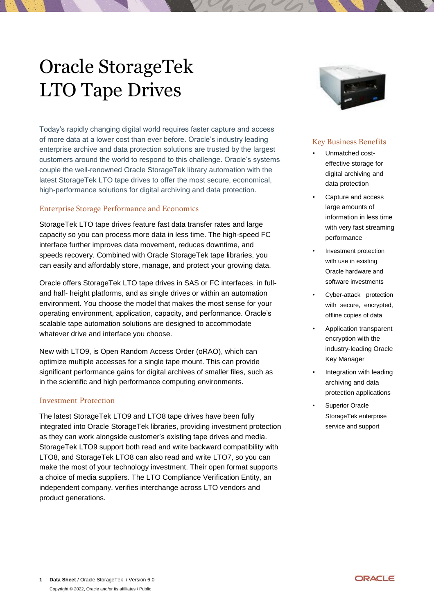# Oracle StorageTek LTO Tape Drives

Today's rapidly changing digital world requires faster capture and access of more data at a lower cost than ever before. Oracle's industry leading enterprise archive and data protection solutions are trusted by the largest customers around the world to respond to this challenge. Oracle's systems couple the well-renowned Oracle StorageTek library automation with the latest StorageTek LTO tape drives to offer the most secure, economical, high-performance solutions for digital archiving and data protection.

# Enterprise Storage Performance and Economics

StorageTek LTO tape drives feature fast data transfer rates and large capacity so you can process more data in less time. The high-speed FC interface further improves data movement, reduces downtime, and speeds recovery. Combined with Oracle StorageTek tape libraries, you can easily and affordably store, manage, and protect your growing data.

Oracle offers StorageTek LTO tape drives in SAS or FC interfaces, in fulland half- height platforms, and as single drives or within an automation environment. You choose the model that makes the most sense for your operating environment, application, capacity, and performance. Oracle's scalable tape automation solutions are designed to accommodate whatever drive and interface you choose.

New with LTO9, is Open Random Access Order (oRAO), which can optimize multiple accesses for a single tape mount. This can provide significant performance gains for digital archives of smaller files, such as in the scientific and high performance computing environments.

## Investment Protection

The latest StorageTek LTO9 and LTO8 tape drives have been fully integrated into Oracle StorageTek libraries, providing investment protection as they can work alongside customer's existing tape drives and media. StorageTek LTO9 support both read and write backward compatibility with LTO8, and StorageTek LTO8 can also read and write LTO7, so you can make the most of your technology investment. Their open format supports a choice of media suppliers. The LTO Compliance Verification Entity, an independent company, verifies interchange across LTO vendors and product generations.



## Key Business Benefits

- Unmatched costeffective storage for digital archiving and data protection
- Capture and access large amounts of information in less time with very fast streaming performance
- Investment protection with use in existing Oracle hardware and software investments
- Cyber-attack protection with secure, encrypted, offline copies of data
- Application transparent encryption with the industry-leading Oracle Key Manager
- Integration with leading archiving and data protection applications
- Superior Oracle StorageTek enterprise service and support

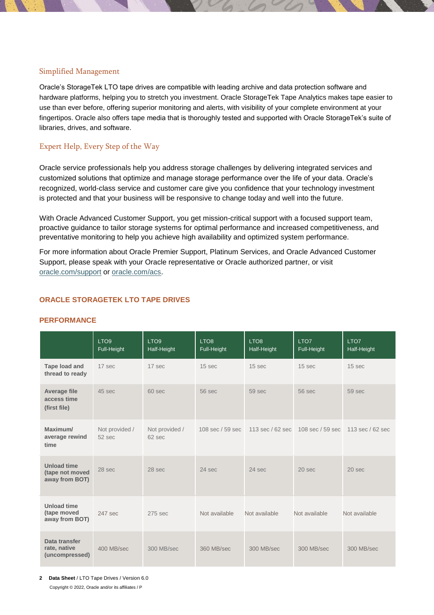## Simplified Management

Oracle's StorageTek LTO tape drives are compatible with leading archive and data protection software and hardware platforms, helping you to stretch you investment. Oracle StorageTek Tape Analytics makes tape easier to use than ever before, offering superior monitoring and alerts, with visibility of your complete environment at your fingertipos. Oracle also offers tape media that is thoroughly tested and supported with Oracle StorageTek's suite of libraries, drives, and software.

# Expert Help, Every Step of the Way

Oracle service professionals help you address storage challenges by delivering integrated services and customized solutions that optimize and manage storage performance over the life of your data. Oracle's recognized, world-class service and customer care give you confidence that your technology investment is protected and that your business will be responsive to change today and well into the future.

With Oracle Advanced Customer Support, you get mission-critical support with a focused support team, proactive guidance to tailor storage systems for optimal performance and increased competitiveness, and preventative monitoring to help you achieve high availability and optimized system performance.

For more information about Oracle Premier Support, Platinum Services, and Oracle Advanced Customer Support, please speak with your Oracle representative or Oracle authorized partner, or visit [oracle.com/support](https://www.oracle.com/support/index.html) or [oracle.com/acs.](http://www.oracle.com/acs)

# **ORACLE STORAGETEK LTO TAPE DRIVES**

#### **PERFORMANCE**

|                                                         | LTO <sub>9</sub><br>Full-Height | LTO <sub>9</sub><br>Half-Height | LTO <sub>8</sub><br>Full-Height | LTO <sub>8</sub><br>Half-Height | LTO7<br>Full-Height                 | LTO7<br>Half-Height        |
|---------------------------------------------------------|---------------------------------|---------------------------------|---------------------------------|---------------------------------|-------------------------------------|----------------------------|
| <b>Tape load and</b><br>thread to ready                 | 17 sec                          | 17 sec                          | 15 <sub>sec</sub>               | 15 <sub>sec</sub>               | 15 <sub>sec</sub>                   | 15 <sub>sec</sub>          |
| <b>Average file</b><br>access time<br>(first file)      | 45 sec                          | $60$ sec                        | 56 sec                          | 59 sec                          | 56 sec                              | 59 sec                     |
| Maximum/<br>average rewind<br>time                      | Not provided /<br>$52$ sec      | Not provided /<br>62 sec        | 108 sec / 59 sec                |                                 | 113 sec / 62 sec   108 sec / 59 sec | $113 \text{ sec}$ / 62 sec |
| <b>Unload time</b><br>(tape not moved<br>away from BOT) | 28 sec                          | 28 sec                          | $24$ sec                        | $24$ sec                        | $20$ sec                            | $20$ sec                   |
| <b>Unload time</b><br>(tape moved<br>away from BOT)     | 247 sec                         | $275$ sec                       | Not available                   | Not available                   | Not available                       | Not available              |
| Data transfer<br>rate, native<br>(uncompressed)         | 400 MB/sec                      | 300 MB/sec                      | 360 MB/sec                      | 300 MB/sec                      | 300 MB/sec                          | 300 MB/sec                 |

**2 Data Sheet** / LTO Tape Drives / Version 6.0 Copyright © 2022, Oracle and/or its affiliates / P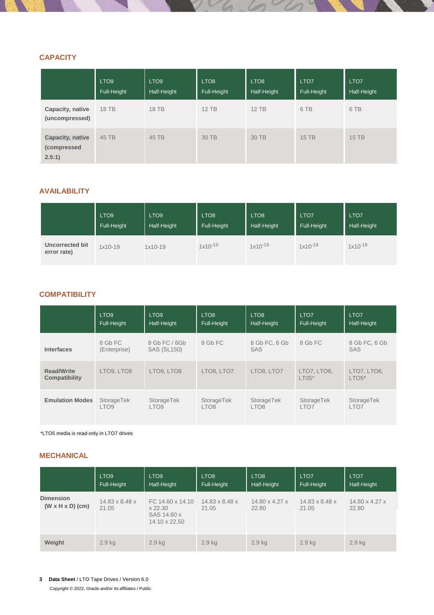# **CAPACITY**

|                                           | LTO <sub>9</sub><br>Full-Height | LTO <sub>9</sub><br>Half-Height | LTO <sub>8</sub><br>Full-Height | LTO <sub>8</sub><br>Half-Height | LTO7<br>Full-Height | LTO <sub>7</sub><br>Half-Height |
|-------------------------------------------|---------------------------------|---------------------------------|---------------------------------|---------------------------------|---------------------|---------------------------------|
| Capacity, native<br>(uncompressed)        | 18 TB                           | 18 TB                           | $12$ TB                         | $12$ TB                         | 6 TB                | 6 TB                            |
| Capacity, native<br>(compressed<br>2.5:1) | 45 TB                           | 45 TB                           | 30 TB                           | 30 TB                           | 15 TB               | 15 TB                           |

# **AVAILABILITY**

|                                       | LTO <sub>9</sub> | LTO <sub>9</sub> | LTO <sub>8</sub> | LTO <sub>8</sub> | LTO <sub>7</sub> | LTO <sub>7</sub> |
|---------------------------------------|------------------|------------------|------------------|------------------|------------------|------------------|
|                                       | Full-Height      | Half-Height      | Full-Height      | Half-Height      | Full-Height      | Half-Height      |
| <b>Uncorrected bit</b><br>error rate) | $1x10-19$        | $1x10-19$        | $1x10^{-19}$     | $1x10^{-19}$     | $1x10^{-19}$     | $1x10^{-19}$     |

# **COMPATIBILITY**

|                                           | LTO <sub>9</sub>        | LTO <sub>9</sub>                    | LTO <sub>8</sub> | LTO <sub>8</sub>     | LTO <sub>7</sub>       | LTO <sub>7</sub>       |
|-------------------------------------------|-------------------------|-------------------------------------|------------------|----------------------|------------------------|------------------------|
|                                           | Full-Height             | Half-Height                         | Full-Height      | Half-Height          | Full-Height            | Half-Height            |
| <b>Interfaces</b>                         | 8 Gb FC<br>(Enterprise) | 8 Gb FC / 6Gb<br><b>SAS (SL150)</b> | 8 Gb FC          | 8 Gb FC, 6 Gb<br>SAS | 8 Gb FC                | 8 Gb FC, 6 Gb<br>SAS   |
| <b>Read/Write</b><br><b>Compatibility</b> | LTO9, LTO8              | LTO9, LTO8                          | LTO8, LTO7       | LTO8, LTO7           | LTO7, LTO6,<br>$LT05*$ | LTO7, LTO6,<br>$LTOS*$ |
| <b>Emulation Modes</b>                    | StorageTek              | StorageTek                          | StorageTek       | StorageTek           | StorageTek             | StorageTek             |
|                                           | LTO <sub>9</sub>        | LTO <sub>9</sub>                    | LTO <sub>8</sub> | LTO <sub>8</sub>     | LTO7                   | LTO7                   |

\*LTO5 media is read-only in LTO7 drives

## **MECHANICAL**

|                                                  | LTO <sub>9</sub><br>Full-Height     | LTO <sub>9</sub><br>Half-Height                             | LTO <sub>8</sub><br>Full-Height     | LTO <sub>8</sub><br>Half-Height | LTO <sub>7</sub><br>Full-Height | LTO <sub>7</sub><br>Half-Height     |
|--------------------------------------------------|-------------------------------------|-------------------------------------------------------------|-------------------------------------|---------------------------------|---------------------------------|-------------------------------------|
| <b>Dimension</b><br>$(W \times H \times D)$ (cm) | $14.83 \times 8.48 \times$<br>21.05 | FC 14.60 x 14.10<br>x 22.30<br>SAS 14.60 x<br>14.10 x 22.50 | $14.83 \times 8.48 \times$<br>21.05 | 14.80 x 4.27 x<br>22.80         | 14.83 x 8.48 x<br>21.05         | $14.80 \times 4.27 \times$<br>22.80 |
| Weight                                           | $2.9$ kg                            | $2.9$ kg                                                    | 2.9 <sub>kg</sub>                   | $2.9$ kg                        | 2.9 <sub>kg</sub>               | $2.9$ kg                            |